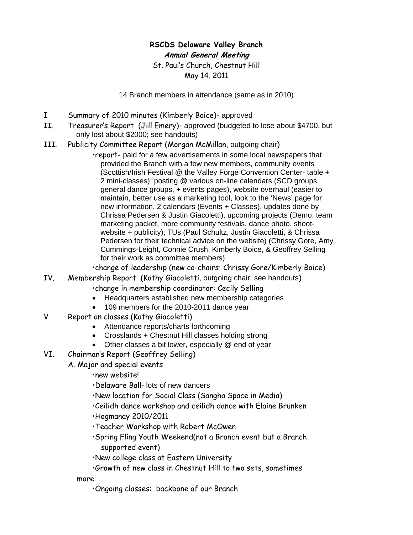## **RSCDS Delaware Valley Branch Annual General Meeting**

St. Paul's Church, Chestnut Hill May 14. 2011

14 Branch members in attendance (same as in 2010)

- I Summary of 2010 minutes (Kimberly Boice)- approved
- II. Treasurer's Report (Jill Emery)- approved (budgeted to lose about \$4700, but only lost about \$2000; see handouts)
- III. Publicity Committee Report (Morgan McMillan, outgoing chair)

 •report- paid for a few advertisements in some local newspapers that provided the Branch with a few new members, community events (Scottish/Irish Festival @ the Valley Forge Convention Center- table + 2 mini-classes), posting @ various on-line calendars (SCD groups, general dance groups, + events pages), website overhaul (easier to maintain, better use as a marketing tool, look to the 'News' page for new information, 2 calendars (Events + Classes), updates done by Chrissa Pedersen & Justin Giacoletti), upcoming projects (Demo. team marketing packet, more community festivals, dance photo. shoot website + publicity), TUs (Paul Schultz, Justin Giacoletti, & Chrissa Pedersen for their technical advice on the website) (Chrissy Gore, Amy Cummings-Leight, Connie Crush, Kimberly Boice, & Geoffrey Selling for their work as committee members)

•change of leadership (new co-chairs: Chrissy Gore/Kimberly Boice)

- IV. Membership Report (Kathy Giacoletti, outgoing chair; see handouts)
	- •change in membership coordinator: Cecily Selling
	- Headquarters established new membership categories
	- 109 members for the 2010-2011 dance year
- V Report on classes (Kathy Giacoletti)
	- Attendance reports/charts forthcoming
	- Crosslands + Chestnut Hill classes holding strong
	- Other classes a bit lower, especially @ end of year
- VI. Chairman's Report (Geoffrey Selling)
	- A. Major and special events

•new website!

•Delaware Ball- lots of new dancers

- •New location for Social Class (Sangha Space in Media)
- •Ceilidh dance workshop and ceilidh dance with Elaine Brunken

•Hogmanay 2010/2011

- •Teacher Workshop with Robert McOwen
- •Spring Fling Youth Weekend(not a Branch event but a Branch supported event)
- •New college class at Eastern University
- •Growth of new class in Chestnut Hill to two sets, sometimes

more

•Ongoing classes: backbone of our Branch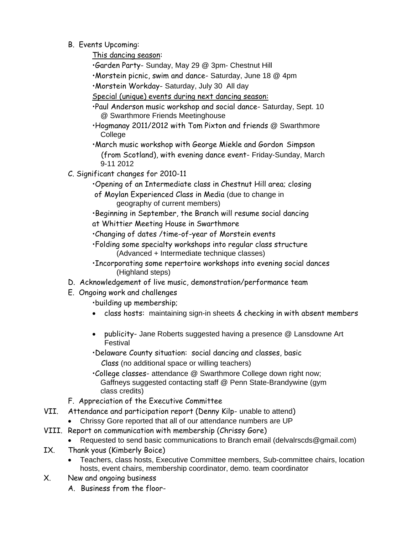B. Events Upcoming:

This dancing season:

- •Garden Party- Sunday, May 29 @ 3pm- Chestnut Hill
- •Morstein picnic, swim and dance- Saturday, June 18 @ 4pm
- •Morstein Workday- Saturday, July 30 All day
- Special (unique) events during next dancing season:
- •Paul Anderson music workshop and social dance- Saturday, Sept. 10 @ Swarthmore Friends Meetinghouse
- •Hogmanay 2011/2012 with Tom Pixton and friends @ Swarthmore **College**
- •March music workshop with George Miekle and Gordon Simpson (from Scotland), with evening dance event- Friday-Sunday, March 9-11 2012
- C. Significant changes for 2010-11
	- •Opening of an Intermediate class in Chestnut Hill area; closing
	- of Moylan Experienced Class in Media (due to change in geography of current members)
	- •Beginning in September, the Branch will resume social dancing at Whittier Meeting House in Swarthmore
	- •Changing of dates /time-of-year of Morstein events
	- •Folding some specialty workshops into regular class structure (Advanced + Intermediate technique classes)
	- •Incorporating some repertoire workshops into evening social dances (Highland steps)
- D. Acknowledgement of live music, demonstration/performance team
- E. Ongoing work and challenges
	- •building up membership;
	- class hosts: maintaining sign-in sheets & checking in with absent members
	- publicity- Jane Roberts suggested having a presence @ Lansdowne Art Festival
	- •Delaware County situation: social dancing and classes, basic Class (no additional space or willing teachers)
	- •College classes- attendance @ Swarthmore College down right now; Gaffneys suggested contacting staff @ Penn State-Brandywine (gym class credits)
- F. Appreciation of the Executive Committee
- VII. Attendance and participation report (Denny Kilp- unable to attend)
	- Chrissy Gore reported that all of our attendance numbers are UP
- VIII. Report on communication with membership (Chrissy Gore)
	- Requested to send basic communications to Branch email (delvalrscds@gmail.com)
- IX. Thank yous (Kimberly Boice)
	- Teachers, class hosts, Executive Committee members, Sub-committee chairs, location hosts, event chairs, membership coordinator, demo. team coordinator
- X. New and ongoing business
	- A. Business from the floor-